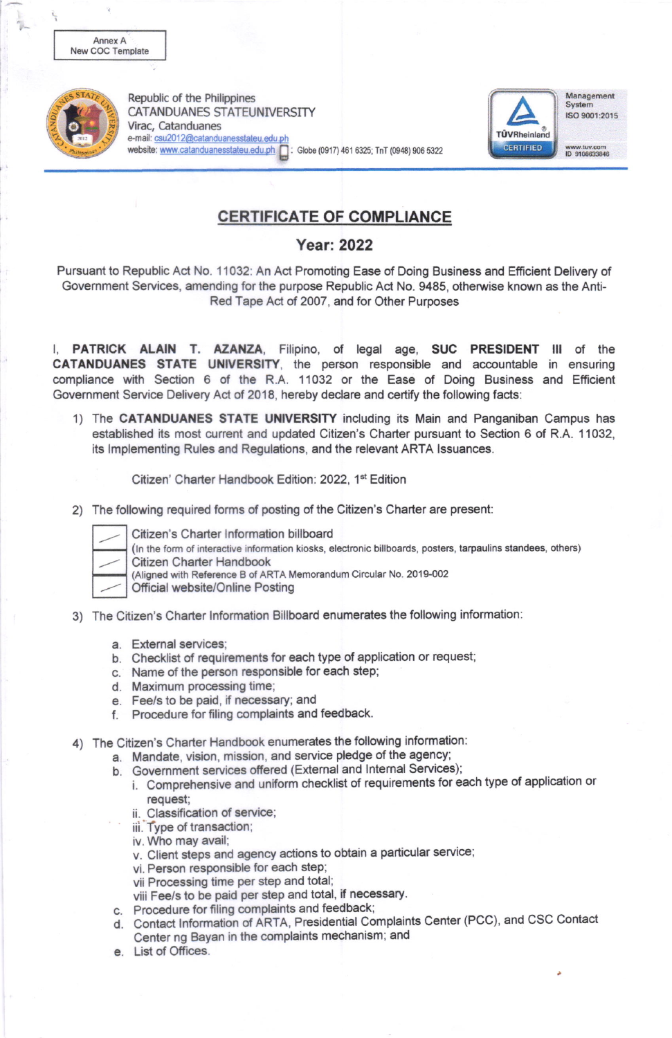

Republic of the Philippines **CATANDUANES STATEUNIVERSITY** Virac. Catanduanes e-mail: csu2012@catanduanesstateu.edu.pl website: www.catanduanesstateu.edu.ph | : Globe (0917) 461 6325; TnT (0948) 906 5322



Management System ISO 9001:2015

www.tuv.com<br>ID 9108633846

## **CERTIFICATE OF COMPLIANCE**

## **Year: 2022**

Pursuant to Republic Act No. 11032: An Act Promoting Ease of Doing Business and Efficient Delivery of Government Services, amending for the purpose Republic Act No. 9485, otherwise known as the Anti-Red Tape Act of 2007, and for Other Purposes

I, PATRICK ALAIN T. AZANZA, Filipino, of legal age, SUC PRESIDENT III of the CATANDUANES STATE UNIVERSITY, the person responsible and accountable in ensuring compliance with Section 6 of the R.A. 11032 or the Ease of Doing Business and Efficient Government Service Delivery Act of 2018, hereby declare and certify the following facts:

1) The CATANDUANES STATE UNIVERSITY including its Main and Panganiban Campus has established its most current and updated Citizen's Charter pursuant to Section 6 of R.A. 11032. its Implementing Rules and Regulations, and the relevant ARTA Issuances.

Citizen' Charter Handbook Edition: 2022, 1<sup>st</sup> Edition

2) The following required forms of posting of the Citizen's Charter are present:



Citizen's Charter Information billboard

(In the form of interactive information kiosks, electronic billboards, posters, tarpaulins standees, others)

Citizen Charter Handbook (Aligned with Reference B of ARTA Memorandum Circular No. 2019-002

Official website/Online Posting

- 3) The Citizen's Charter Information Billboard enumerates the following information:
	- a. External services:
	- b. Checklist of requirements for each type of application or request;
	- c. Name of the person responsible for each step:
	- d. Maximum processing time;
	- e. Fee/s to be paid, if necessary: and
	- f. Procedure for filing complaints and feedback.
- 4) The Citizen's Charter Handbook enumerates the following information:
	- a. Mandate, vision, mission, and service pledge of the agency;
	- b. Government services offered (External and Internal Services);
		- i. Comprehensive and uniform checklist of requirements for each type of application or request:
		- ii. Classification of service;
		- iii. Type of transaction;
		- iv. Who may avail;
		- v. Client steps and agency actions to obtain a particular service;
		- vi. Person responsible for each step;
		- vii Processing time per step and total;
		- viii Fee/s to be paid per step and total, if necessary.
	- c. Procedure for filing complaints and feedback;
	- d. Contact Information of ARTA, Presidential Complaints Center (PCC), and CSC Contact Center ng Bayan in the complaints mechanism; and
	- e. List of Offices.